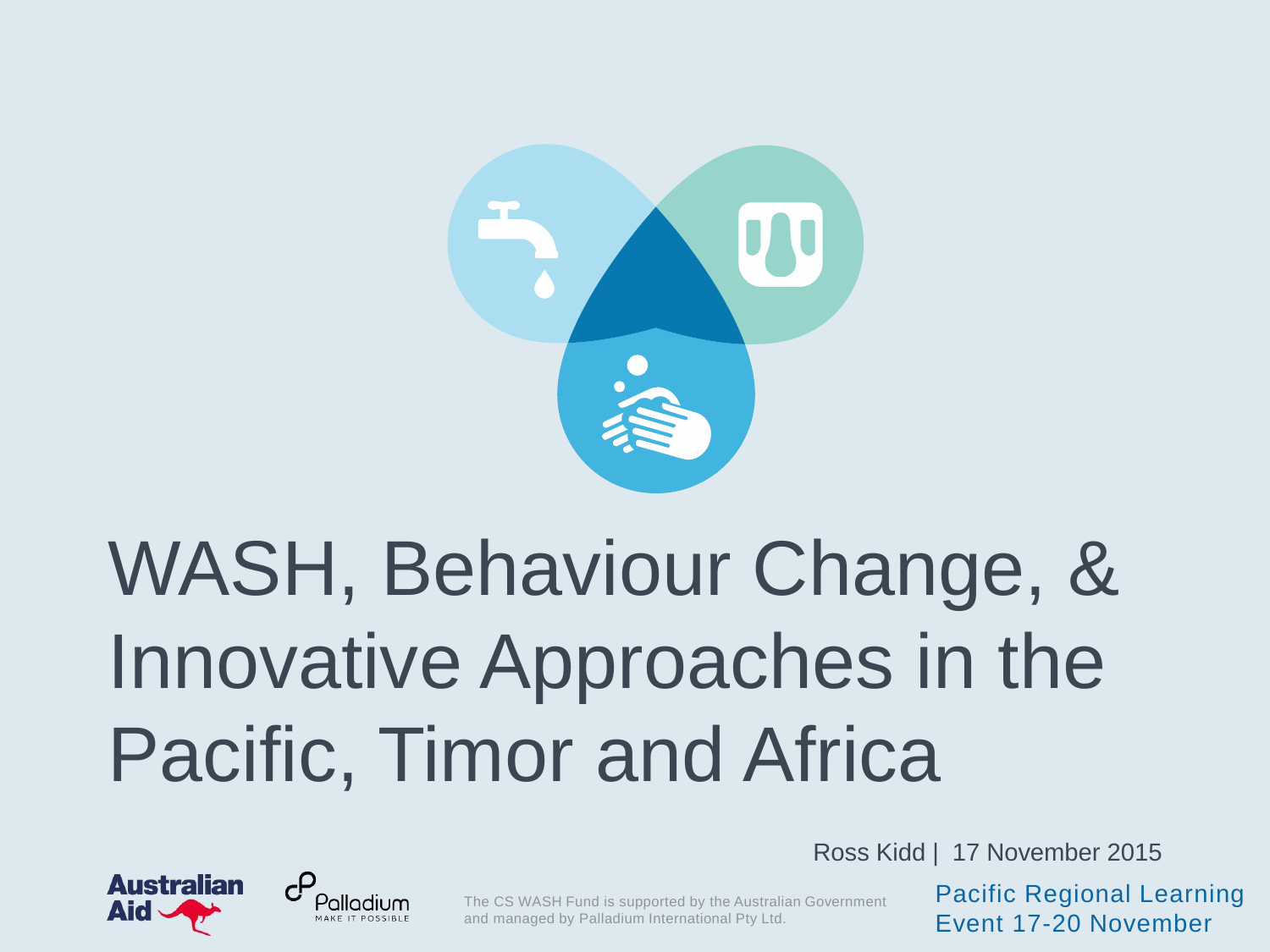

# WASH, Behaviour Change, & Innovative Approaches in the Pacific, Timor and Africa



alladium'



Ross Kidd | 17 November 2015 Pacific Regional Learning

Event 17-20 November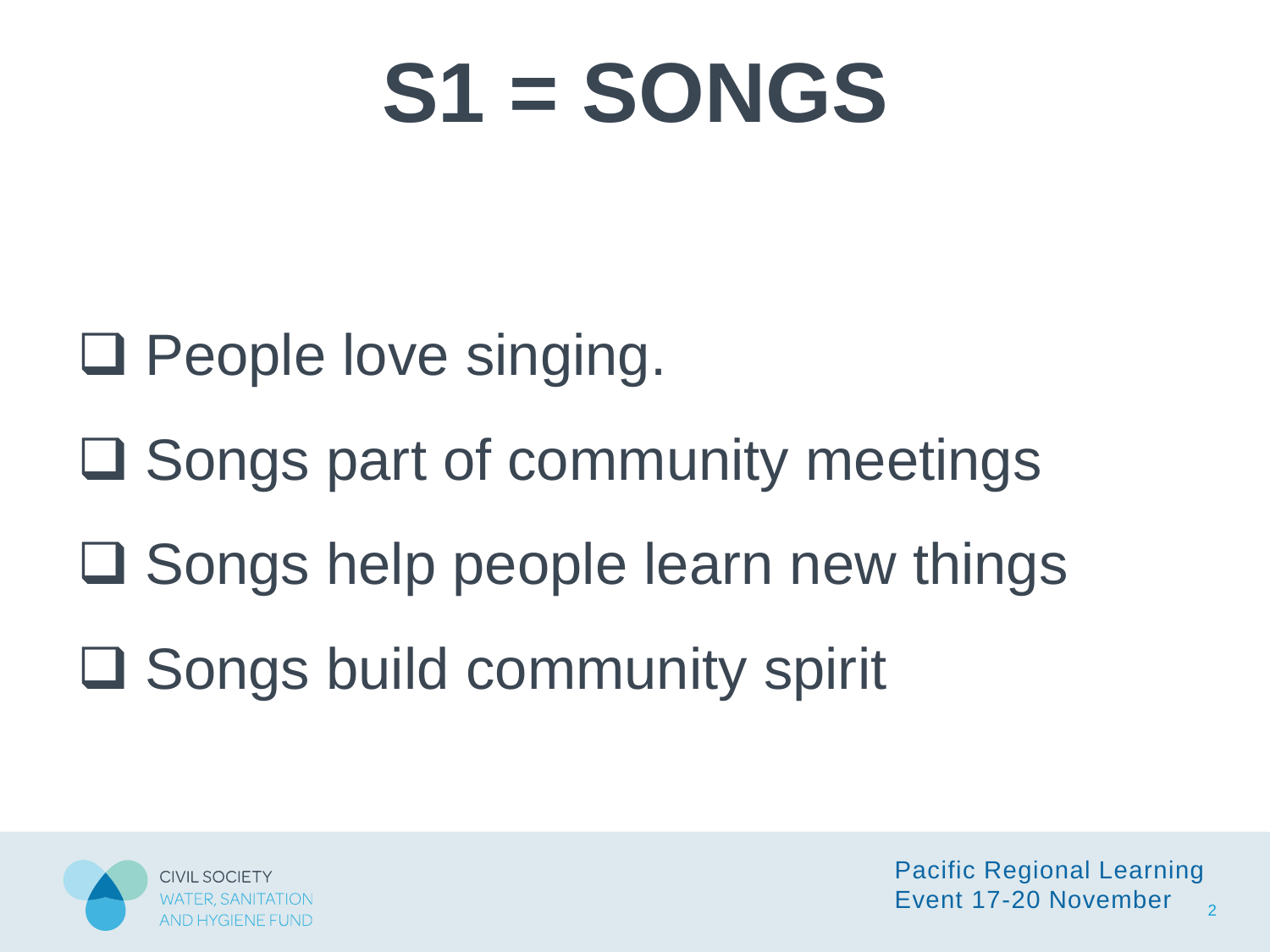# **S1 = SONGS**

### $\Box$  People love singing.

- $\square$  Songs part of community meetings
- □ Songs help people learn new things
- □ Songs build community spirit



 $\overline{2}$ Pacific Regional Learning Event 17-20 November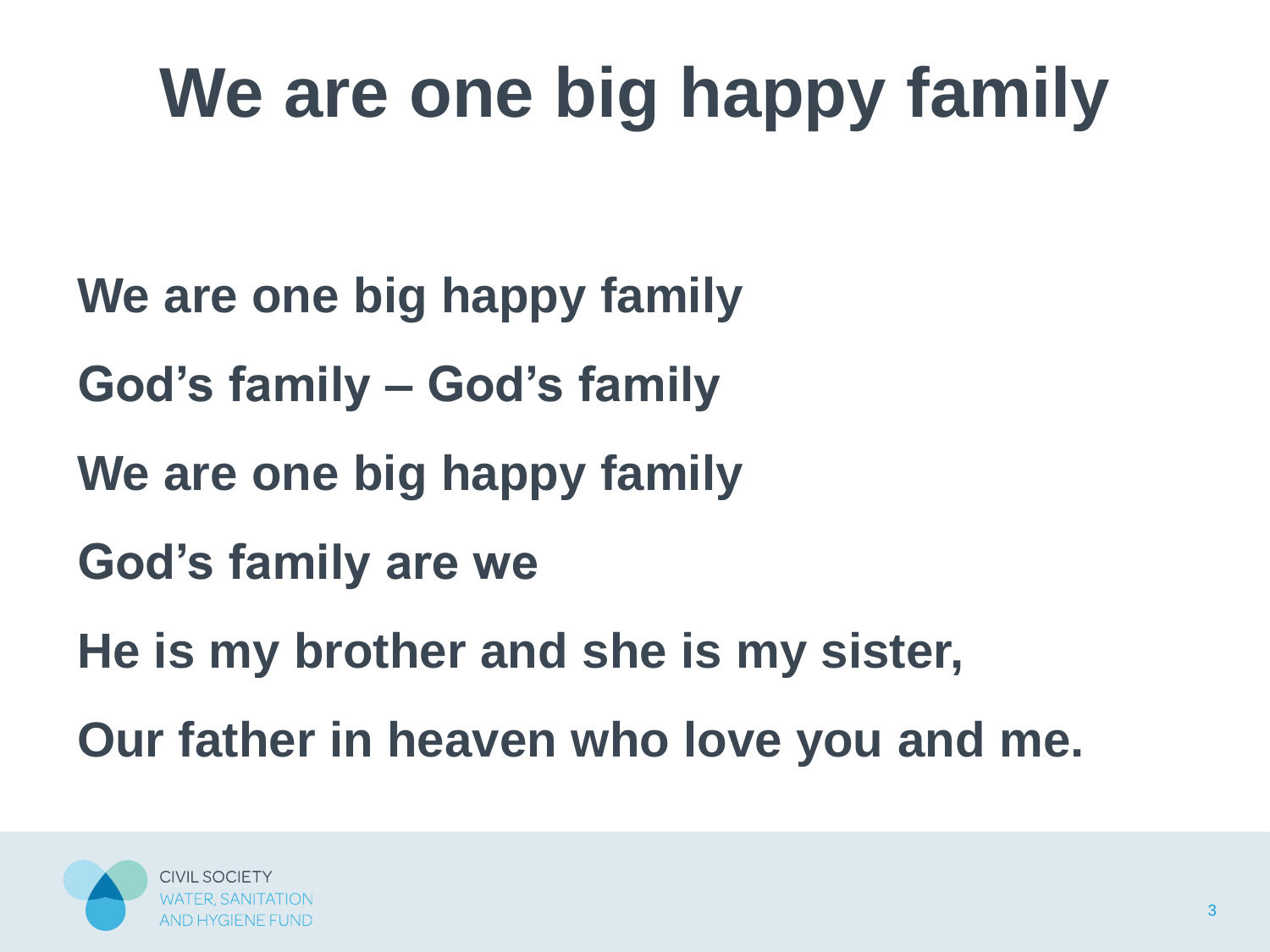# **We are one big happy family**

**We are one big happy family God's family – God's family We are one big happy family God's family are we He is my brother and she is my sister, Our father in heaven who love you and me.**

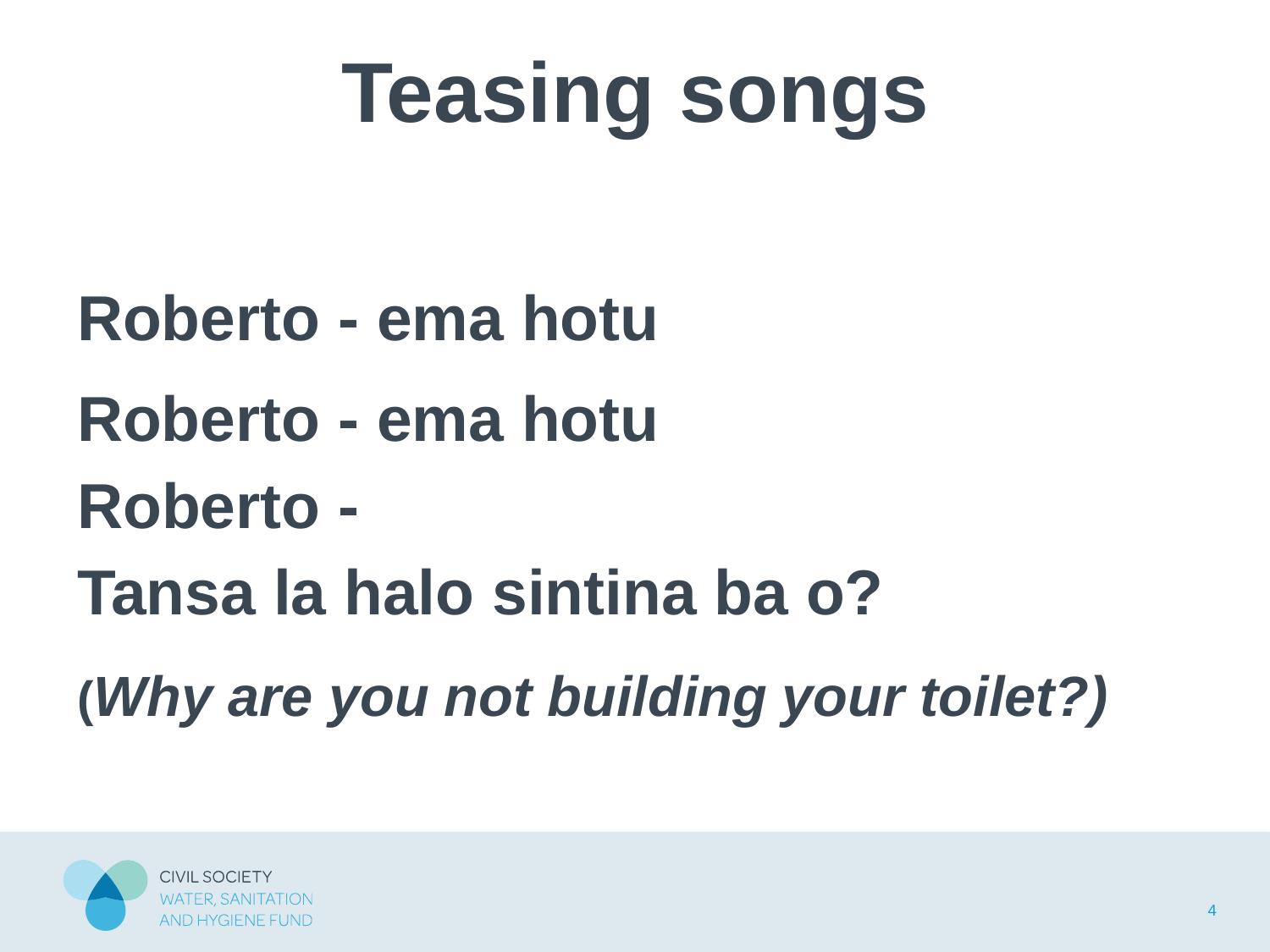# **Teasing songs**

## **Roberto - ema hotu Roberto - ema hotu Roberto - Tansa la halo sintina ba o? (***Why are you not building your toilet?)*

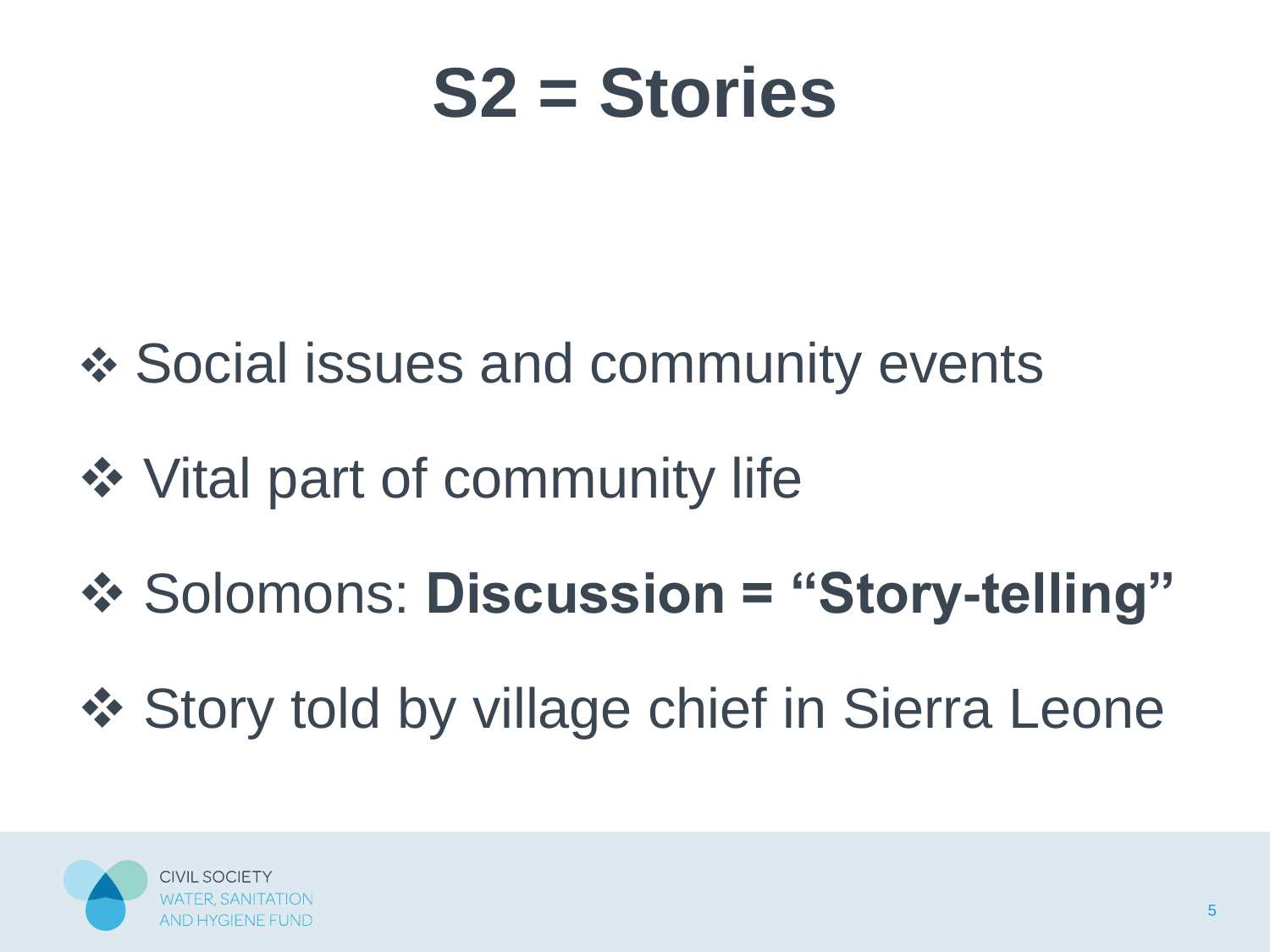

### **❖ Social issues and community events**

**❖** Vital part of community life

### Solomons: **Discussion = "Story-telling"**

**❖ Story told by village chief in Sierra Leone** 

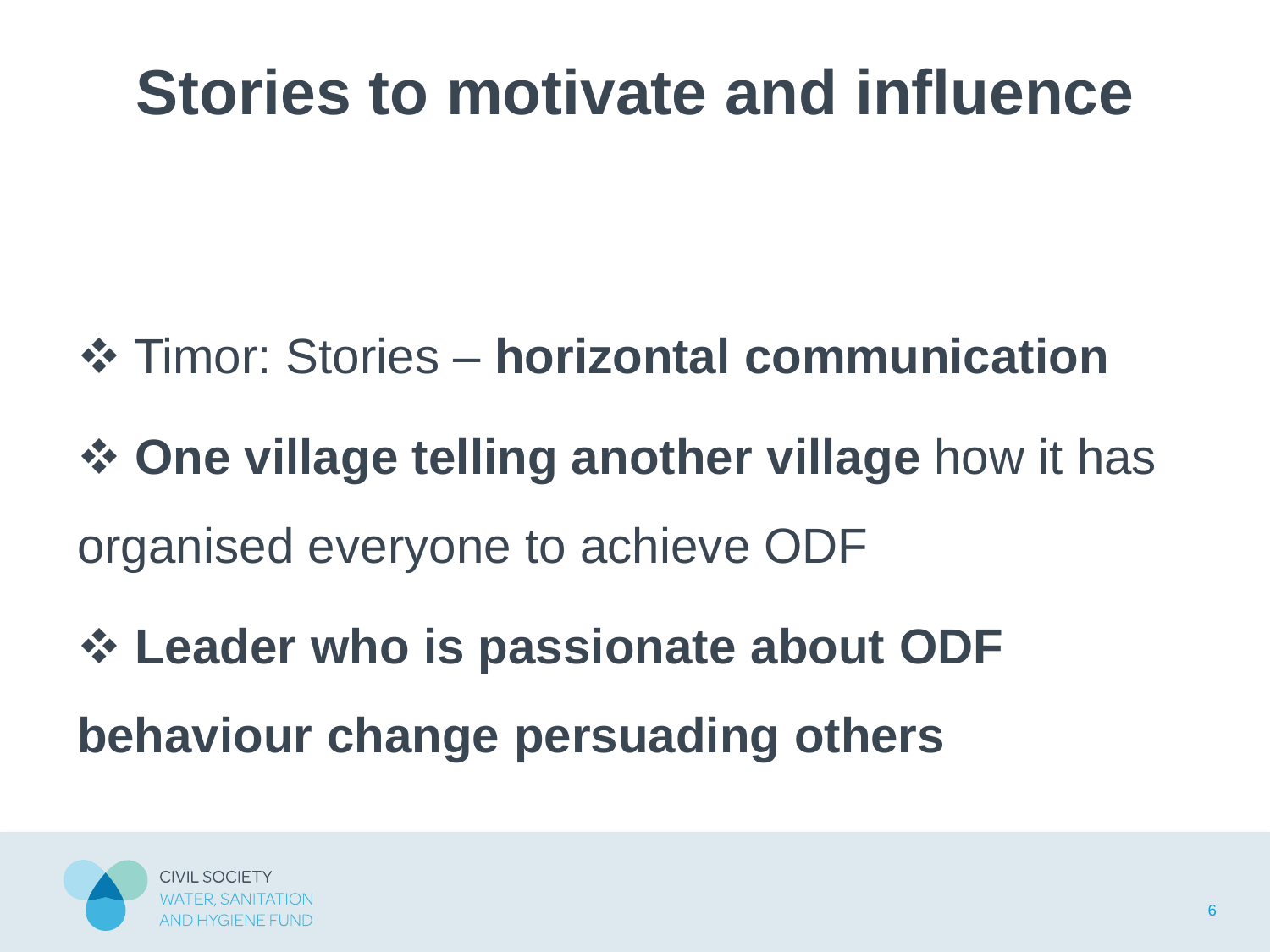## **Stories to motivate and influence**

#### Timor: Stories – **horizontal communication**

## **One village telling another village** how it has organised everyone to achieve ODF

### **Leader who is passionate about ODF behaviour change persuading others**

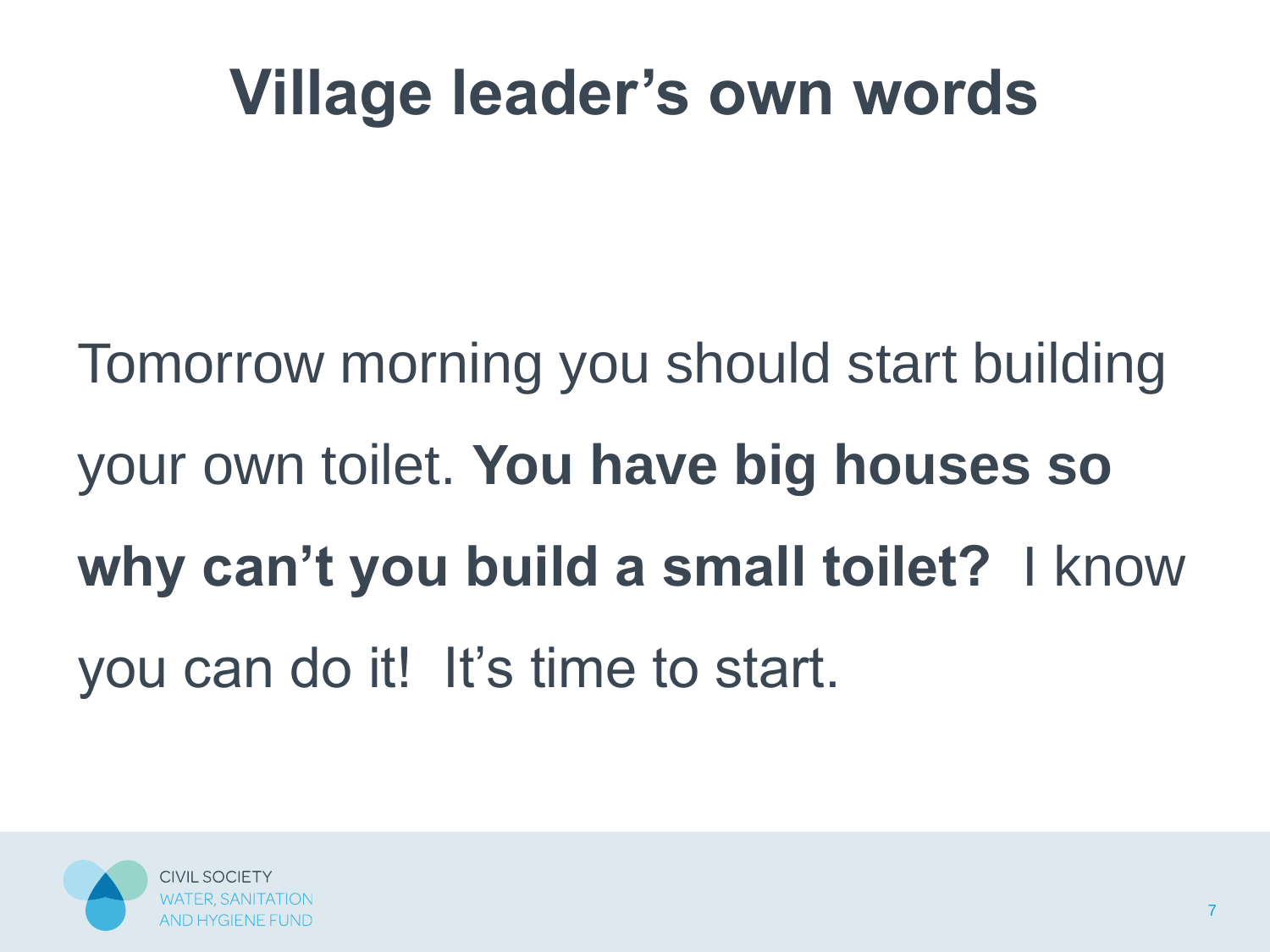### **Village leader's own words**

Tomorrow morning you should start building your own toilet. **You have big houses so why can't you build a small toilet?** I know you can do it! It's time to start.

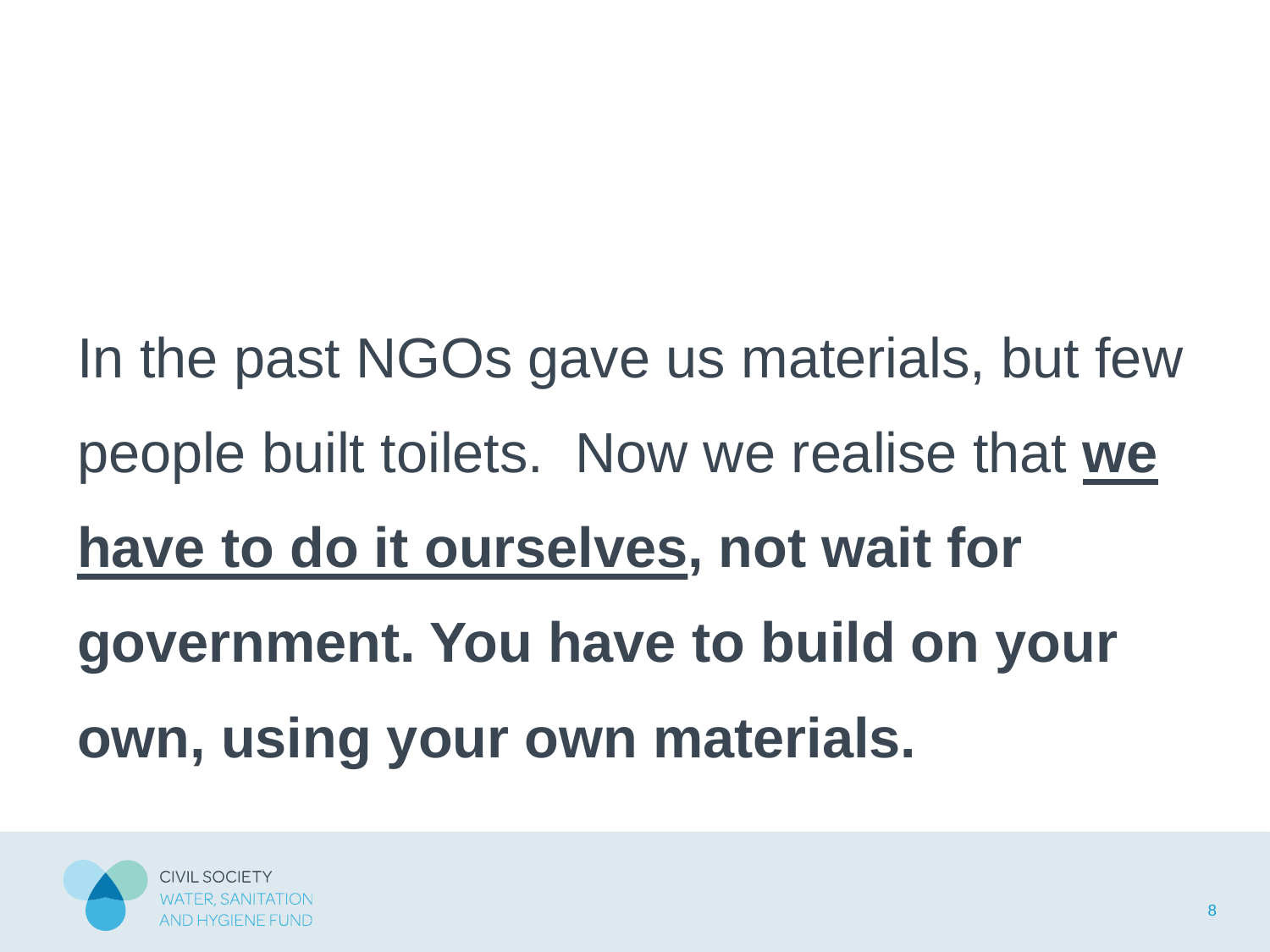# In the past NGOs gave us materials, but few people built toilets. Now we realise that **we have to do it ourselves, not wait for government. You have to build on your own, using your own materials.**

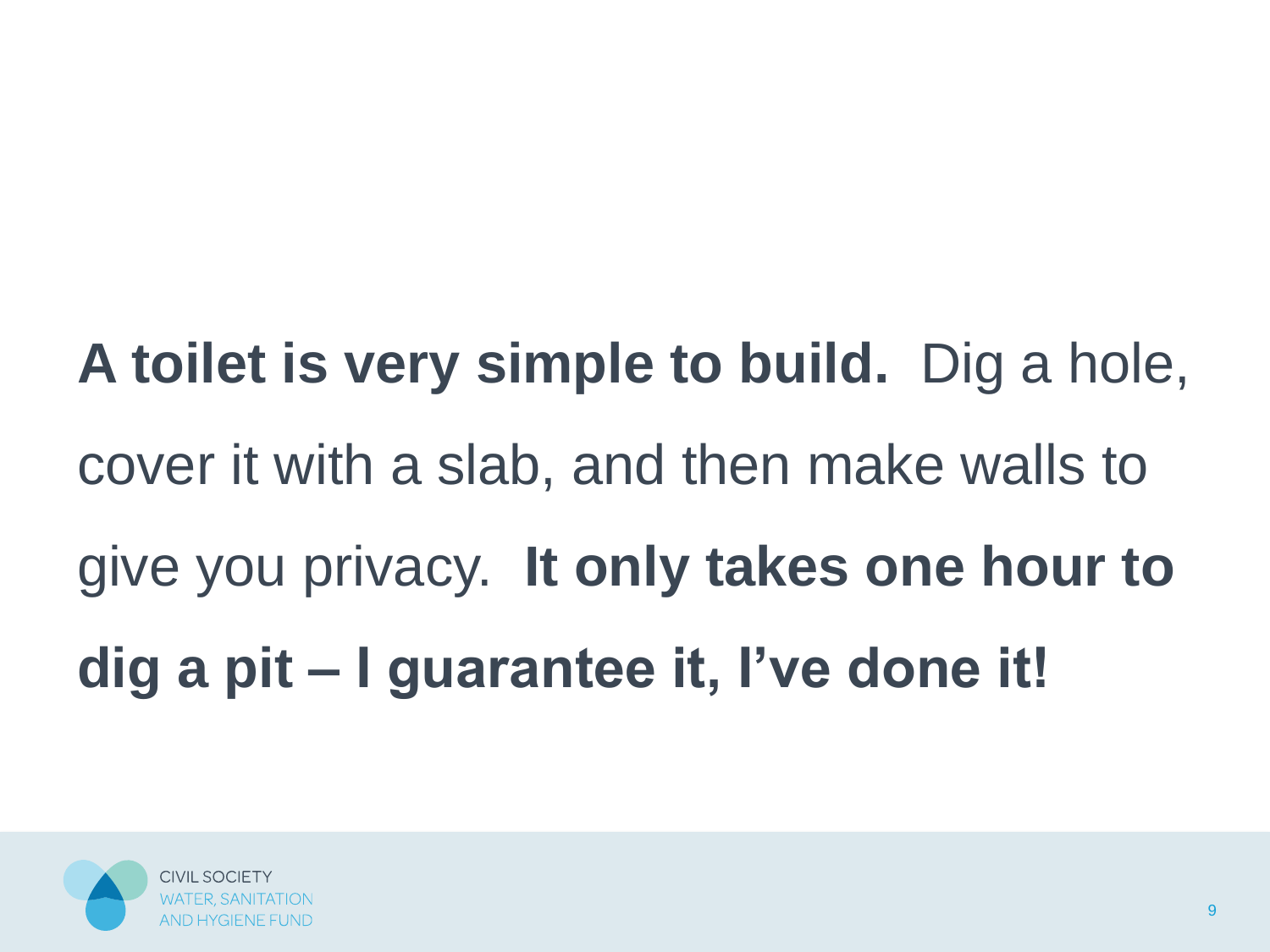# **A toilet is very simple to build.** Dig a hole, cover it with a slab, and then make walls to give you privacy. **It only takes one hour to dig a pit – I guarantee it, I've done it!**

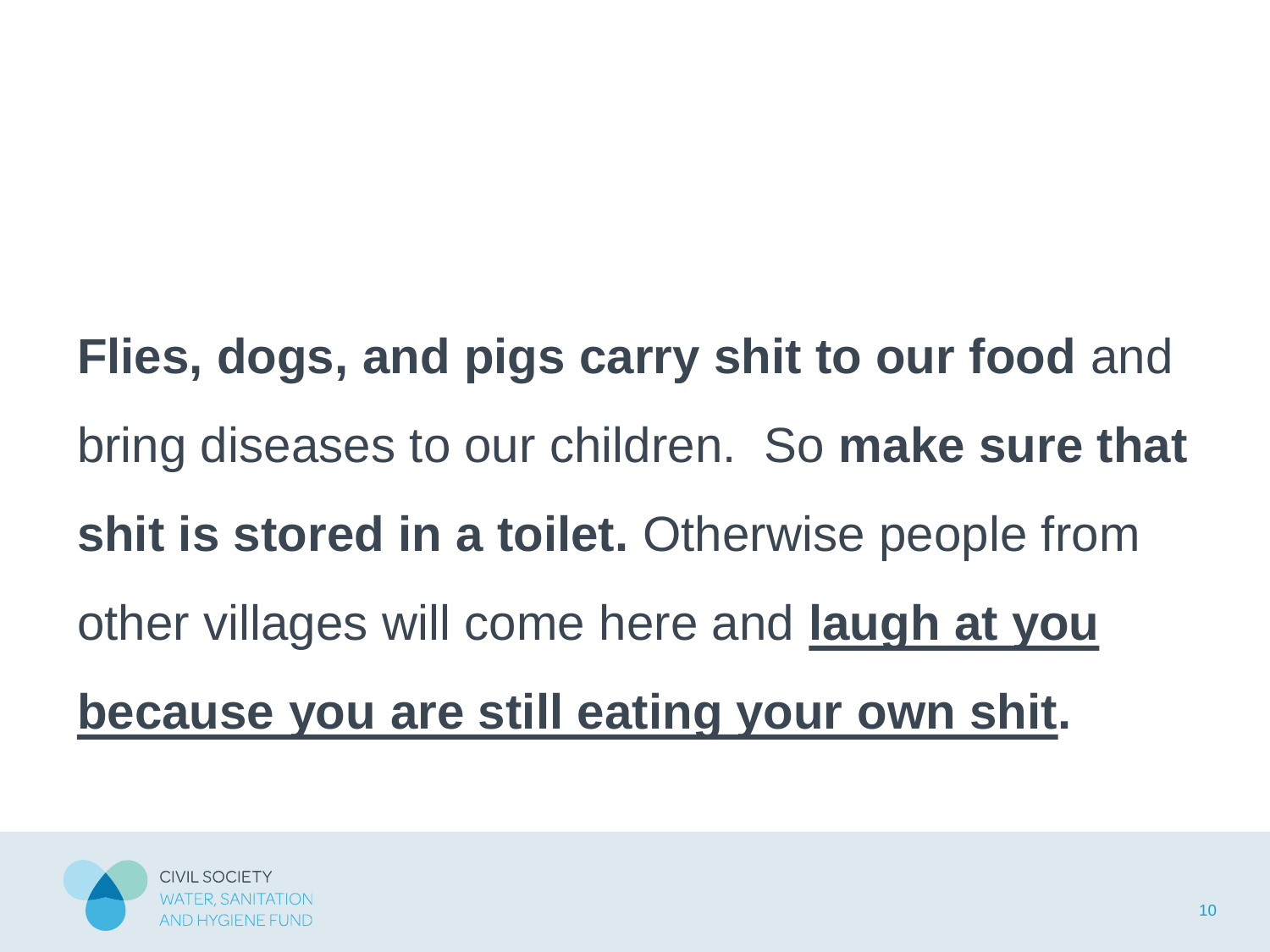## **Flies, dogs, and pigs carry shit to our food** and bring diseases to our children. So **make sure that shit is stored in a toilet.** Otherwise people from other villages will come here and **laugh at you because you are still eating your own shit.**

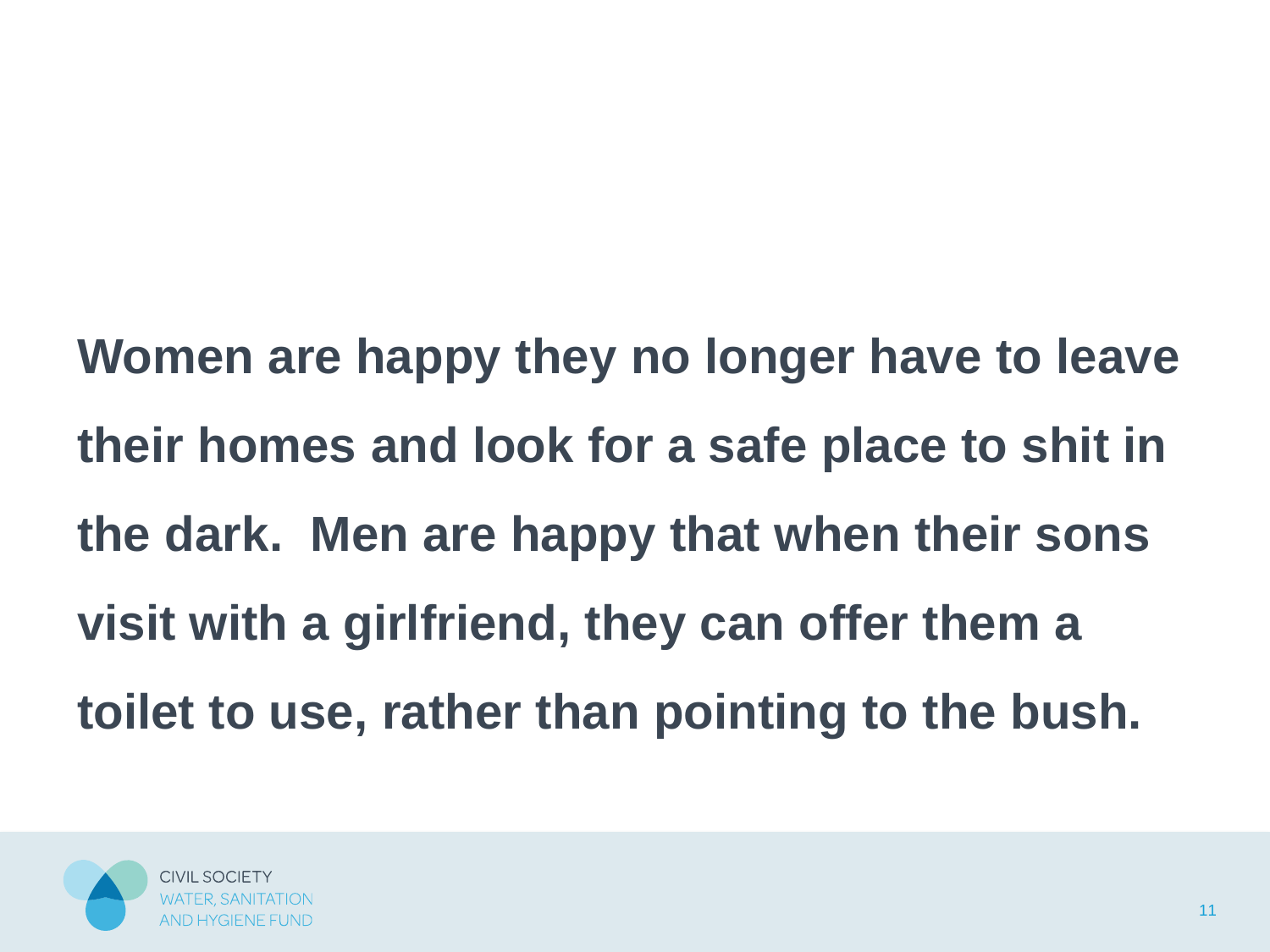**Women are happy they no longer have to leave their homes and look for a safe place to shit in the dark. Men are happy that when their sons visit with a girlfriend, they can offer them a toilet to use, rather than pointing to the bush.**

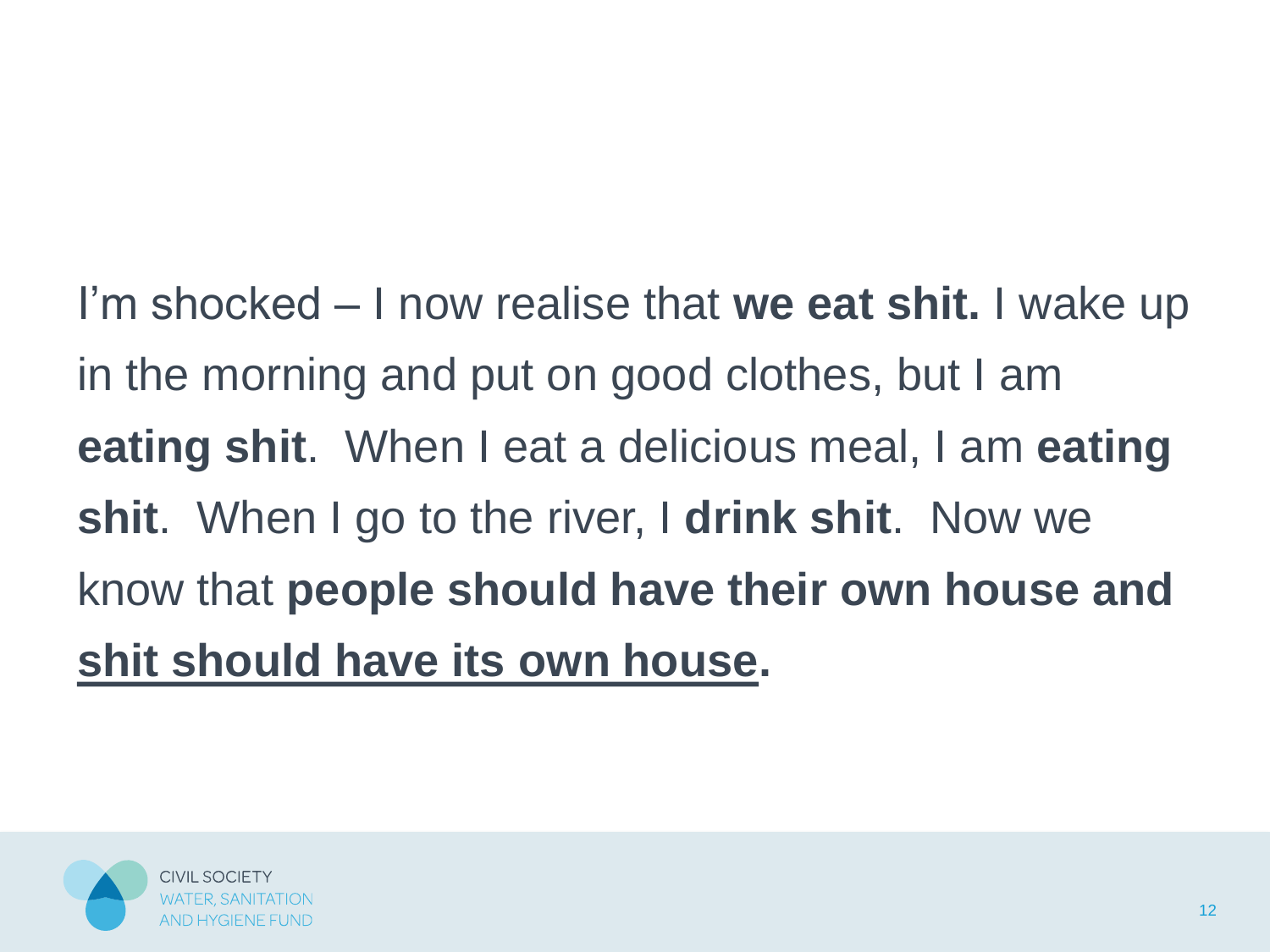I'm shocked – I now realise that **we eat shit.** I wake up in the morning and put on good clothes, but I am **eating shit**. When I eat a delicious meal, I am **eating shit**. When I go to the river, I **drink shit**. Now we know that **people should have their own house and shit should have its own house.** 

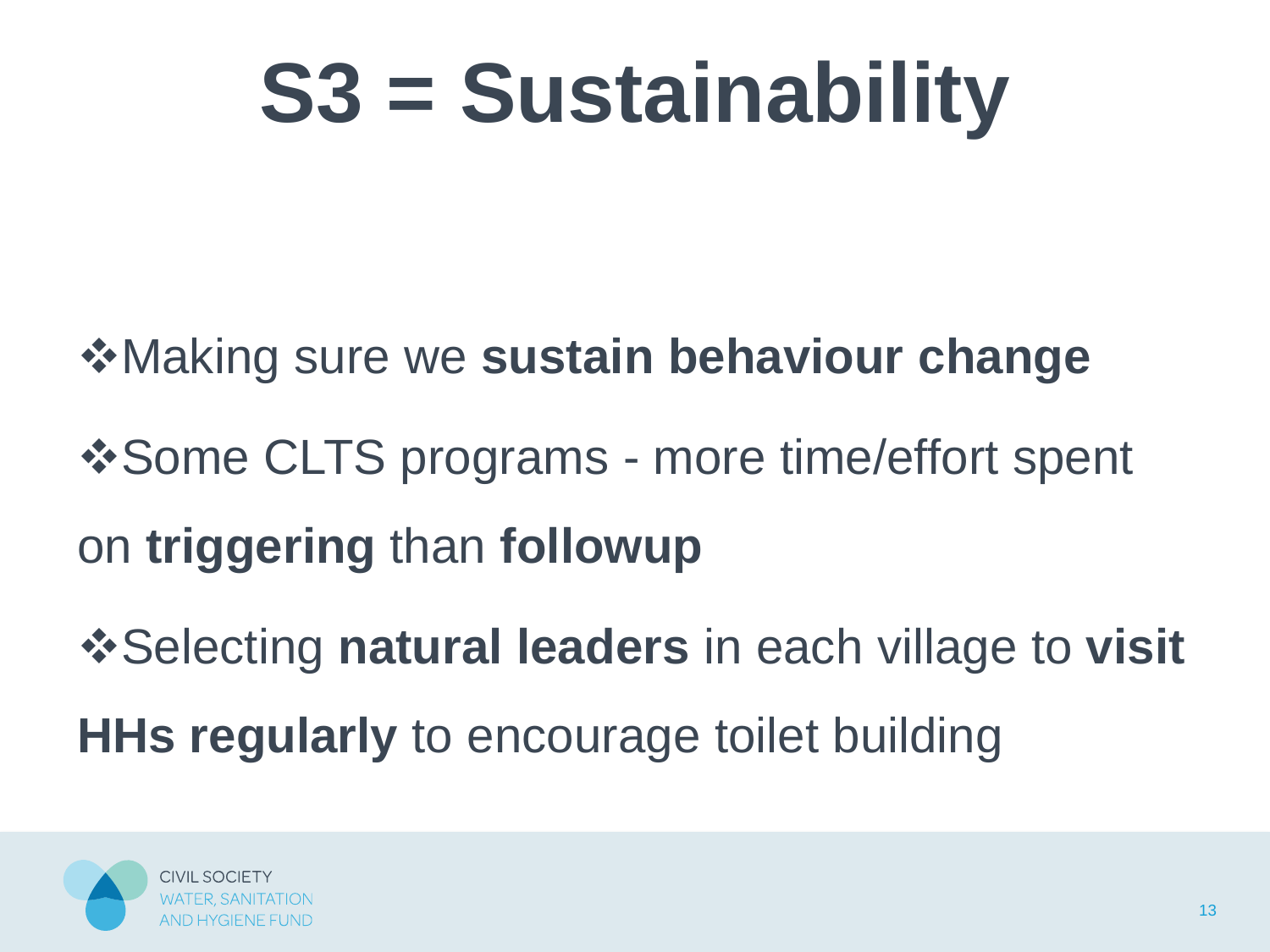# **S3 = Sustainability**

**☆Making sure we sustain behaviour change** 

**\*Some CLTS programs - more time/effort spent** 

on **triggering** than **followup**

Selecting **natural leaders** in each village to **visit HHs regularly** to encourage toilet building

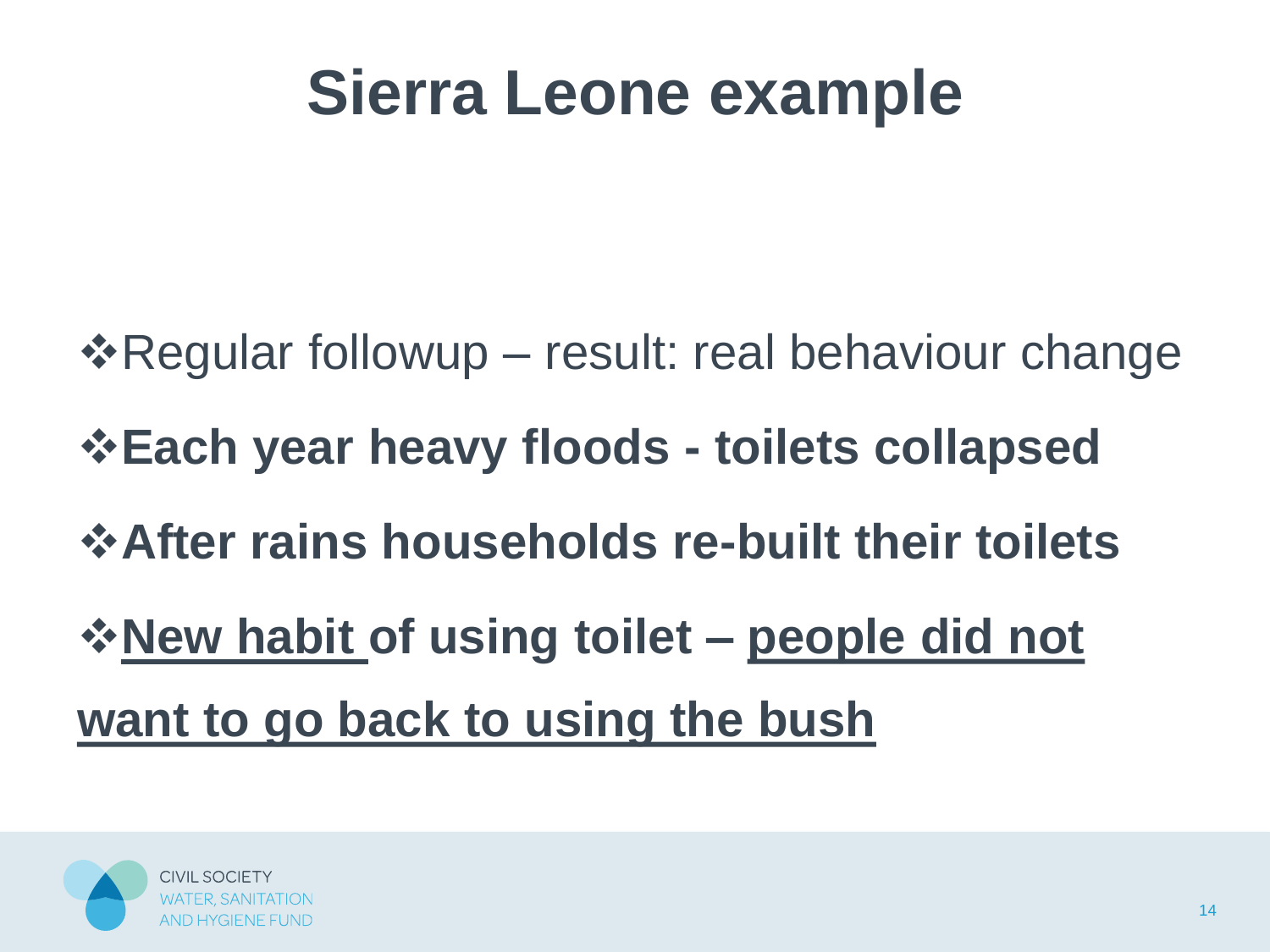### **Sierra Leone example**

**\*Regular followup – result: real behaviour change Each year heavy floods - toilets collapsed After rains households re-built their toilets New habit of using toilet – people did not** 

**want to go back to using the bush**

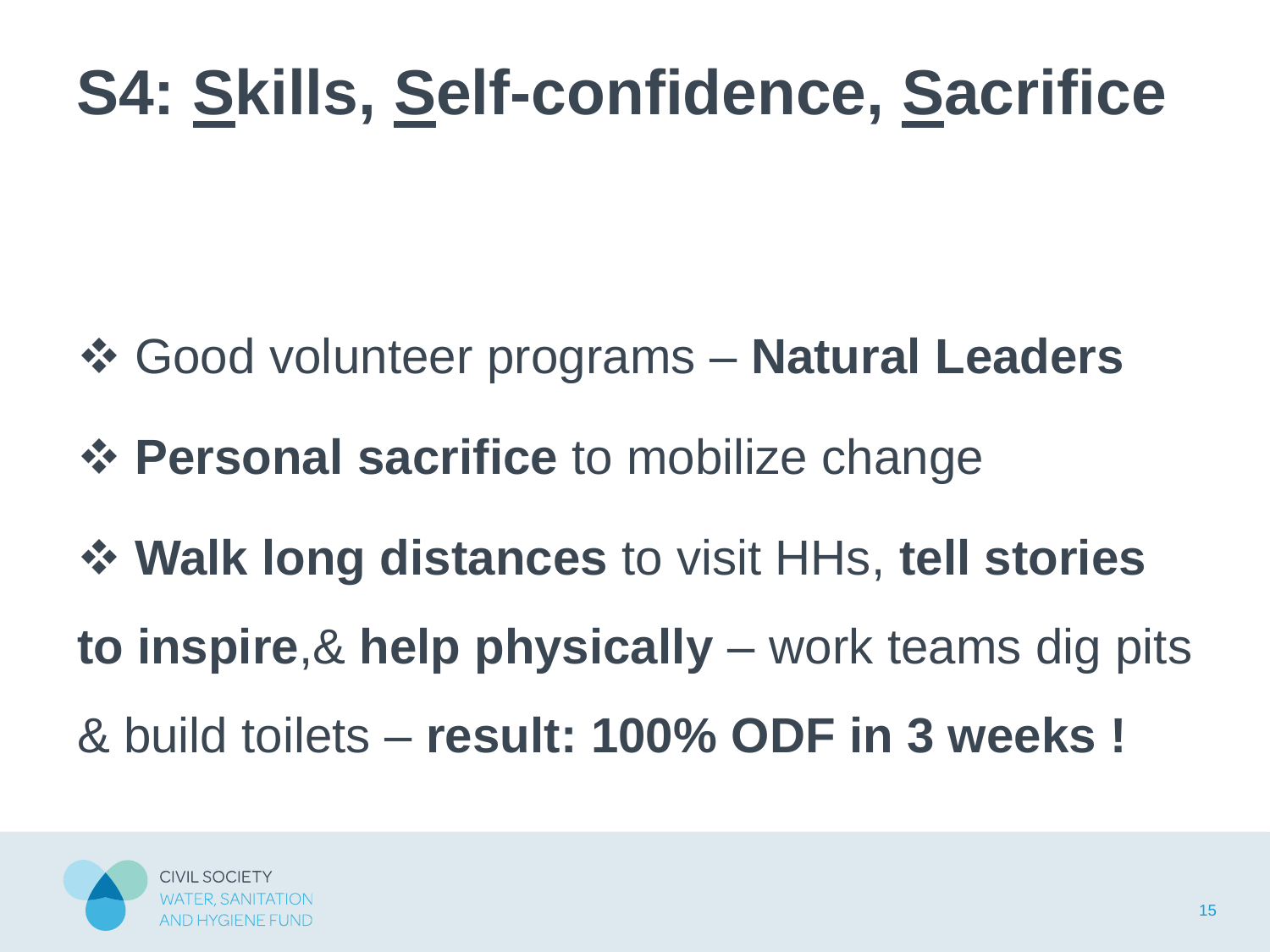## **S4: Skills, Self-confidence, Sacrifice**

Good volunteer programs – **Natural Leaders**

**→ Personal sacrifice** to mobilize change

 **Walk long distances** to visit HHs, **tell stories to inspire**,& **help physically** – work teams dig pits & build toilets – **result: 100% ODF in 3 weeks !**

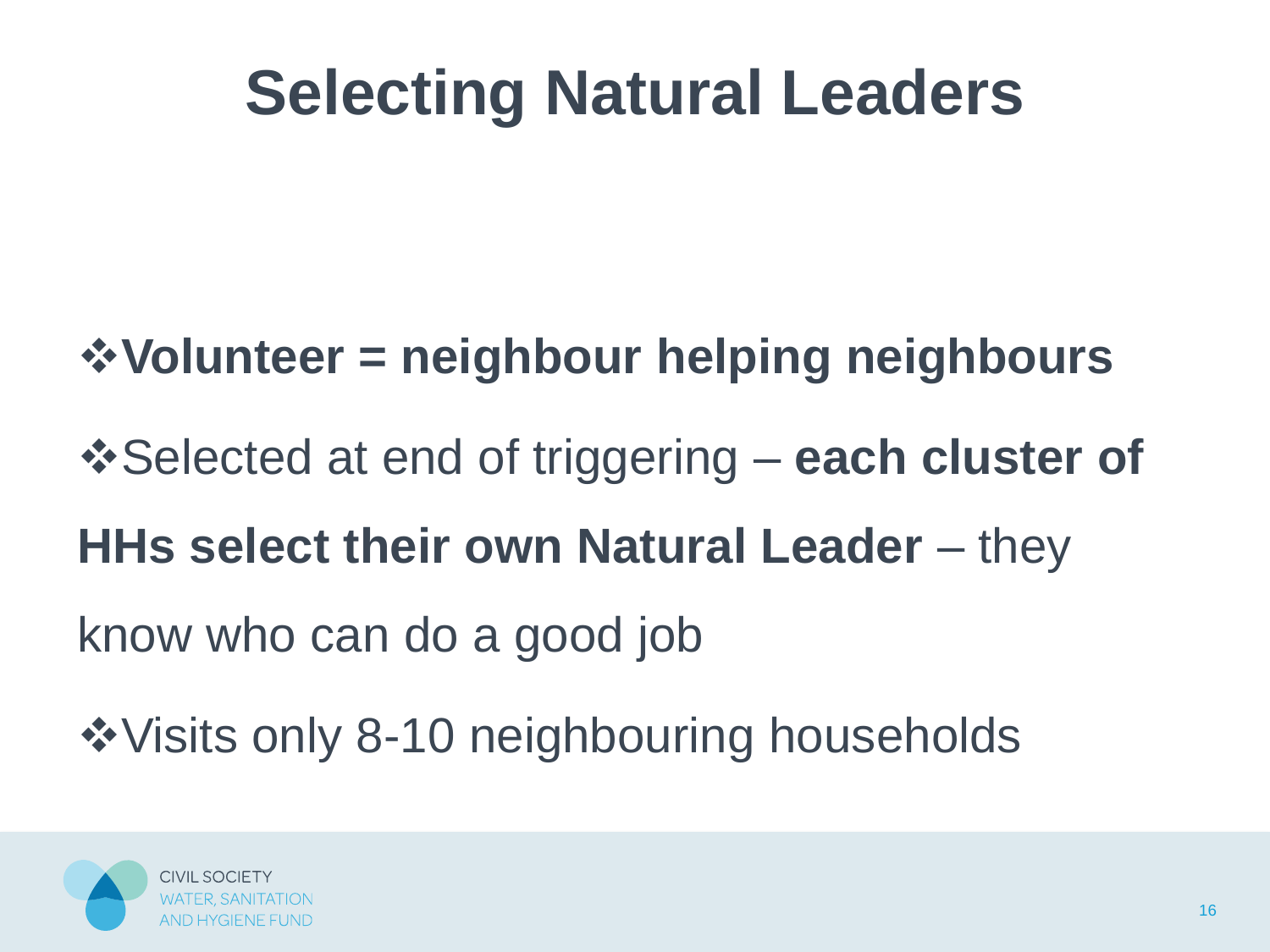## **Selecting Natural Leaders**

#### **Volunteer = neighbour helping neighbours**

## Selected at end of triggering – **each cluster of HHs select their own Natural Leader** – they know who can do a good job

 $\diamond$  Visits only 8-10 neighbouring households

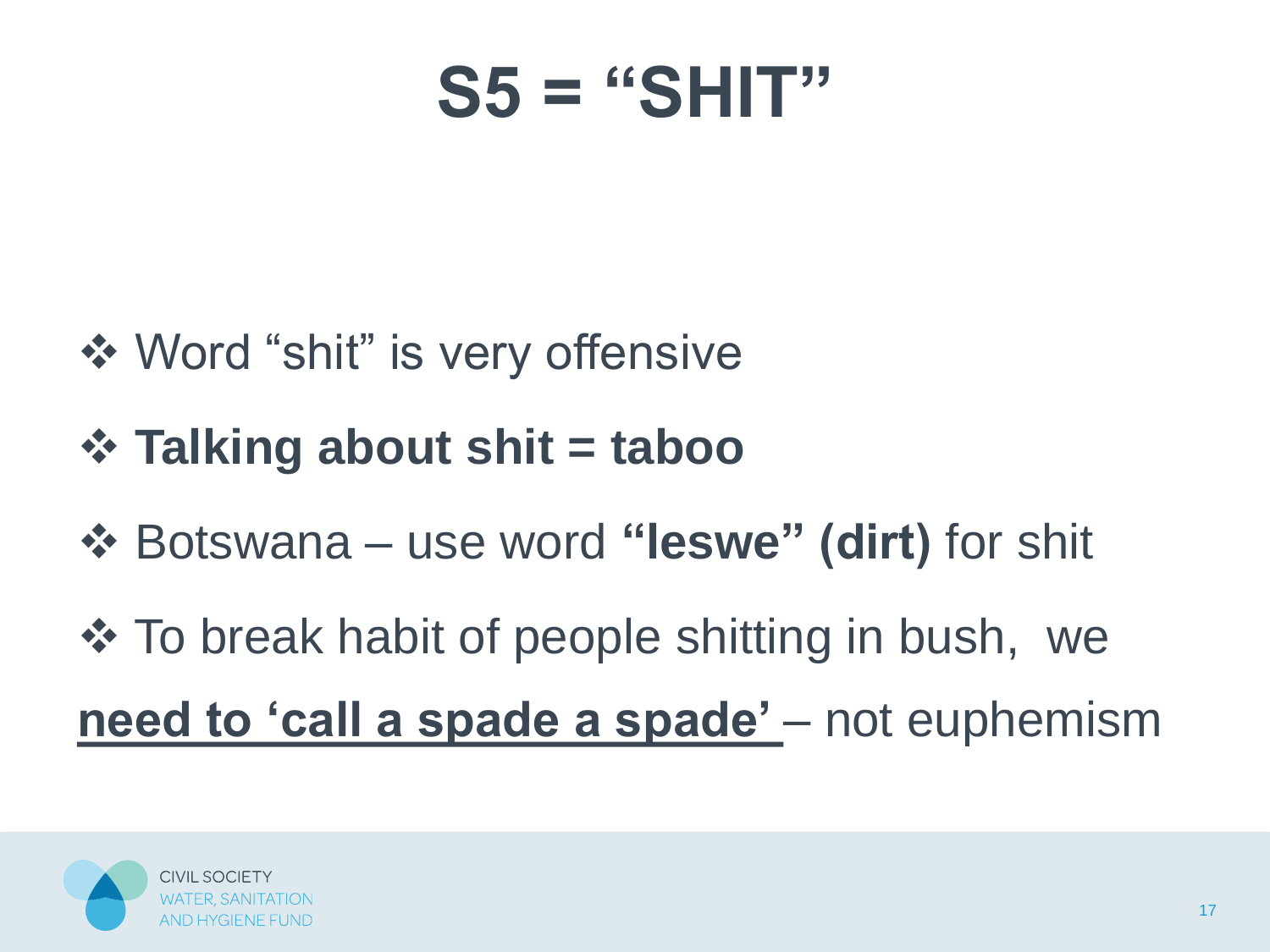

#### **❖ Word "shit" is very offensive**

#### **Talking about shit = taboo**

- Botswana use word **"leswe" (dirt)** for shit
- $\triangle$  **To break habit of people shitting in bush, we need to 'call a spade a spade'** – not euphemism

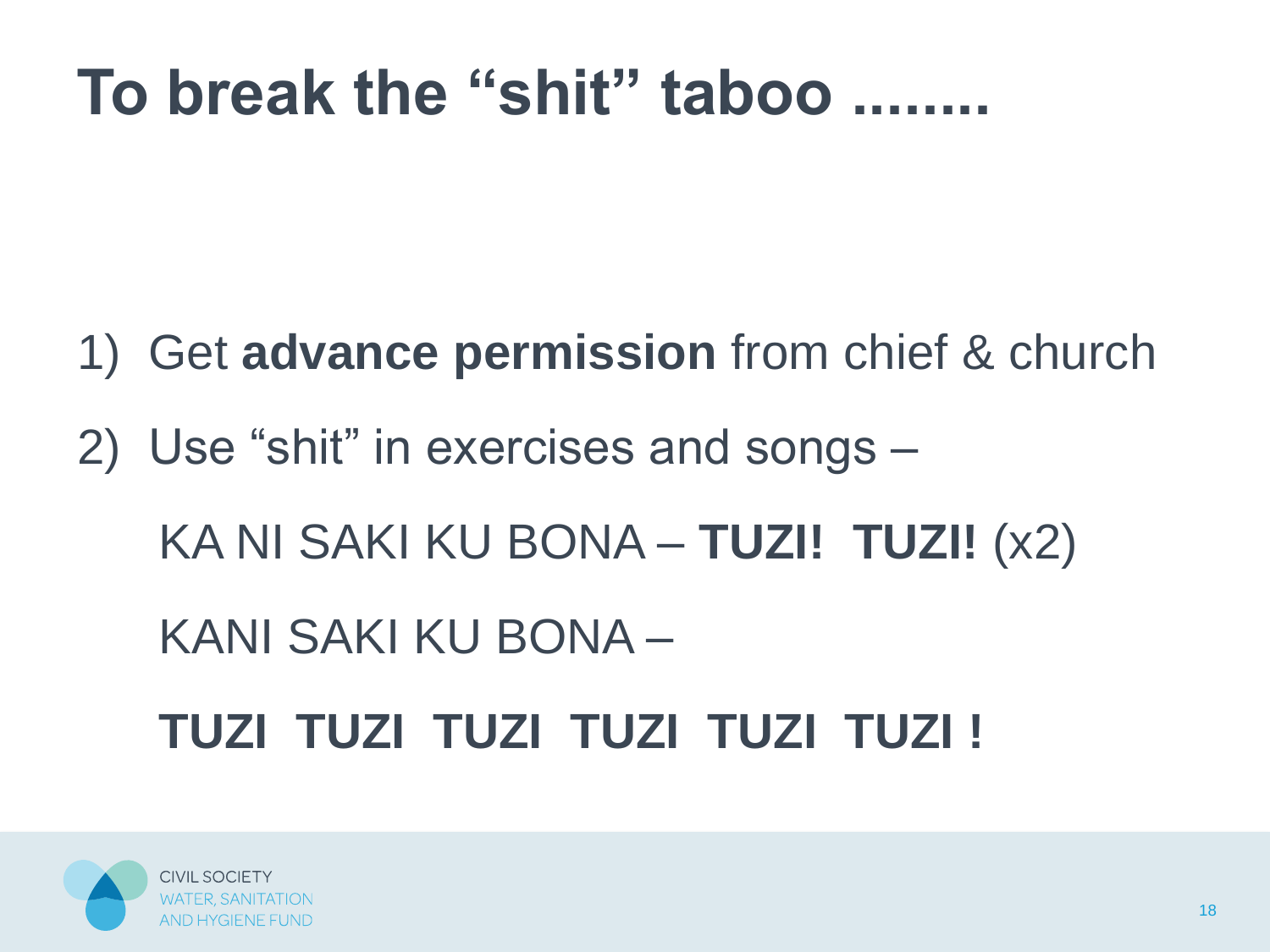### **To break the "shit" taboo ........**

- 1) Get **advance permission** from chief & church
- 2) Use "shit" in exercises and songs KA NI SAKI KU BONA – **TUZI! TUZI!** (x2) KANI SAKI KU BONA – **TUZI TUZI TUZI TUZI TUZI TUZI !**

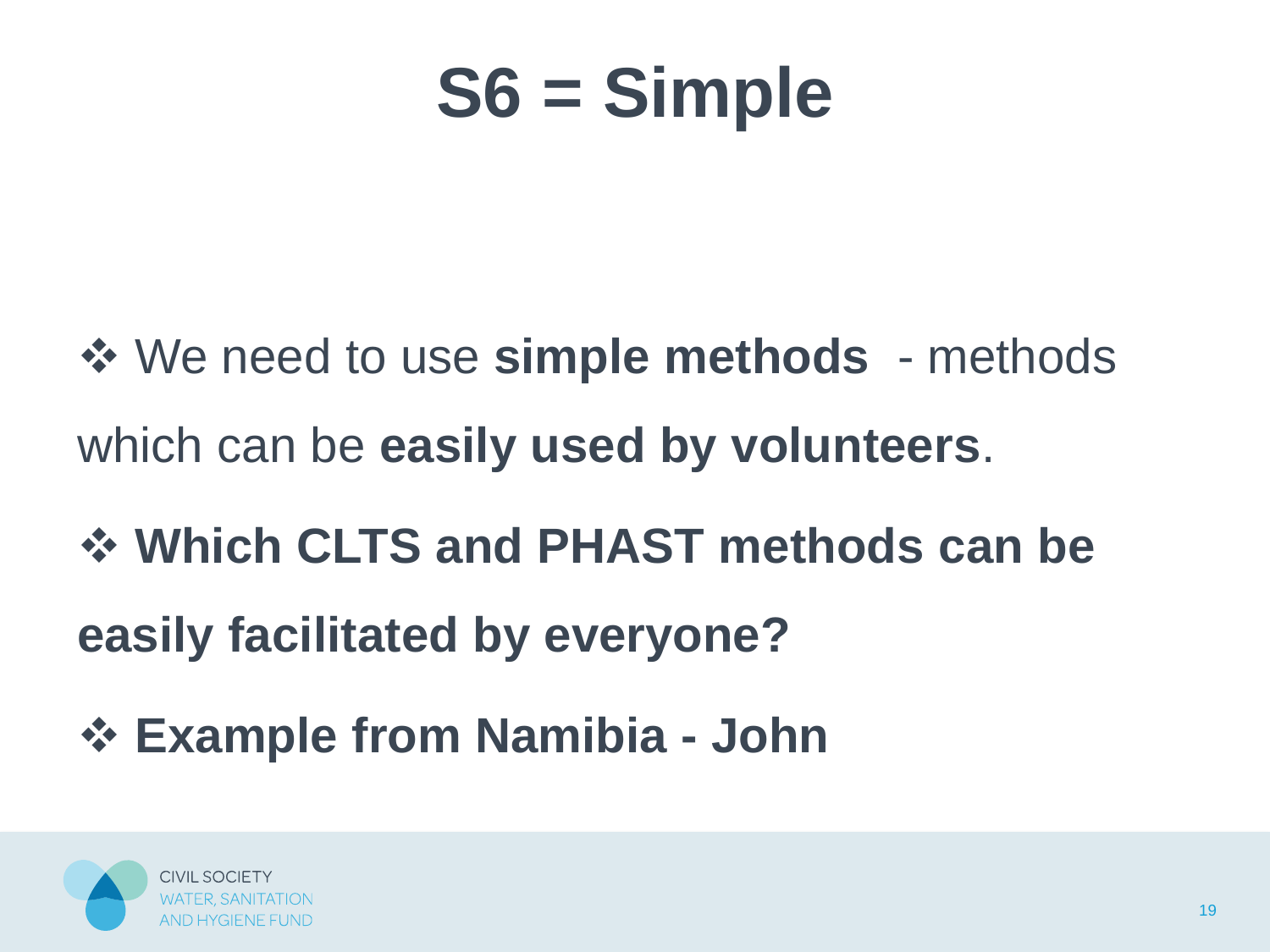## **S6 = Simple**

**☆** We need to use **simple methods** - methods which can be **easily used by volunteers**.

## **Which CLTS and PHAST methods can be easily facilitated by everyone?**

**Example from Namibia - John**